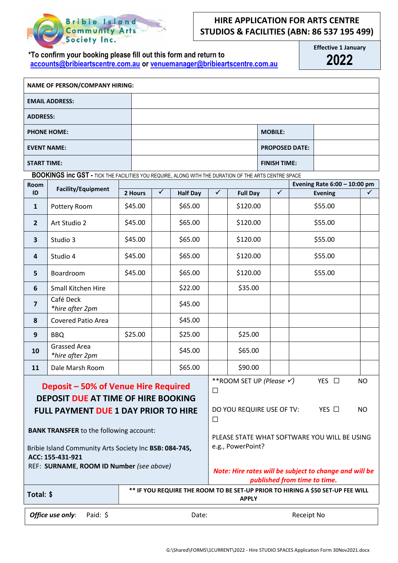

## **HIRE APPLICATION FOR ARTS CENTRE STUDIOS & FACILITIES (ABN: 86 537 195 499)**

**\*To confirm your booking please fill out this form and return to [accounts@bribieartscentre.com.au](mailto:accounts@bribieartscentre.com.au) or [venuemanager@bribieartscentre.com.au](mailto:venuemanager@bribieartscentre.com.au)** **Effective 1 January 2022**

| <b>NAME OF PERSON/COMPANY HIRING:</b> |  |                       |  |  |  |
|---------------------------------------|--|-----------------------|--|--|--|
| <b>EMAIL ADDRESS:</b>                 |  |                       |  |  |  |
| <b>ADDRESS:</b>                       |  |                       |  |  |  |
| <b>PHONE HOME:</b>                    |  | <b>MOBILE:</b>        |  |  |  |
| <b>EVENT NAME:</b>                    |  | <b>PROPOSED DATE:</b> |  |  |  |
| <b>START TIME:</b>                    |  | <b>FINISH TIME:</b>   |  |  |  |

 **BOOKINGS inc GST -** TICK THE FACILITIES YOU REQUIRE, ALONG WITH THE DURATION OF THE ARTS CENTRE SPACE

| Room<br><b>Facility/Equipment</b>                                                  |                                        |         |                                              |                                                                                        |   | Evening Rate 6:00 - 10:00 pm |              |                |  |
|------------------------------------------------------------------------------------|----------------------------------------|---------|----------------------------------------------|----------------------------------------------------------------------------------------|---|------------------------------|--------------|----------------|--|
| ID                                                                                 |                                        | 2 Hours | ✓                                            | <b>Half Day</b>                                                                        | ✓ | <b>Full Day</b>              | $\checkmark$ | <b>Evening</b> |  |
| $\mathbf{1}$                                                                       | Pottery Room                           | \$45.00 |                                              | \$65.00                                                                                |   | \$120.00                     |              | \$55.00        |  |
| $\overline{2}$                                                                     | Art Studio 2                           | \$45.00 |                                              | \$65.00                                                                                |   | \$120.00                     |              | \$55.00        |  |
| 3                                                                                  | Studio 3                               | \$45.00 |                                              | \$65.00                                                                                |   | \$120.00                     |              | \$55.00        |  |
| $\overline{\mathbf{4}}$                                                            | Studio 4                               | \$45.00 |                                              | \$65.00                                                                                |   | \$120.00                     |              | \$55.00        |  |
| 5                                                                                  | Boardroom                              | \$45.00 |                                              | \$65.00                                                                                |   | \$120.00                     |              | \$55.00        |  |
| 6                                                                                  | <b>Small Kitchen Hire</b>              |         |                                              | \$22.00                                                                                |   | \$35.00                      |              |                |  |
| $\overline{\mathbf{z}}$                                                            | Café Deck<br>*hire after 2pm           |         |                                              | \$45.00                                                                                |   |                              |              |                |  |
| 8                                                                                  | <b>Covered Patio Area</b>              |         |                                              | \$45.00                                                                                |   |                              |              |                |  |
| 9                                                                                  | <b>BBQ</b>                             | \$25.00 |                                              | \$25.00                                                                                |   | \$25.00                      |              |                |  |
| 10                                                                                 | <b>Grassed Area</b><br>*hire after 2pm |         |                                              | \$45.00                                                                                |   | \$65.00                      |              |                |  |
| 11                                                                                 | Dale Marsh Room                        |         |                                              | \$65.00                                                                                |   | \$90.00                      |              |                |  |
| Deposit - 50% of Venue Hire Required<br><b>DEPOSIT DUE AT TIME OF HIRE BOOKING</b> |                                        |         |                                              | ** ROOM SET UP (Please V)<br>YES $\square$<br><b>NO</b><br>$\Box$                      |   |                              |              |                |  |
| <b>FULL PAYMENT DUE 1 DAY PRIOR TO HIRE</b>                                        |                                        |         |                                              | YES □<br>DO YOU REQUIRE USE OF TV:<br><b>NO</b><br>$\Box$                              |   |                              |              |                |  |
| <b>BANK TRANSFER to the following account:</b>                                     |                                        |         | PLEASE STATE WHAT SOFTWARE YOU WILL BE USING |                                                                                        |   |                              |              |                |  |
| Bribie Island Community Arts Society Inc BSB: 084-745,<br>ACC: 155-431-921         |                                        |         |                                              | e.g., PowerPoint?                                                                      |   |                              |              |                |  |
| REF: SURNAME, ROOM ID Number (see above)                                           |                                        |         |                                              | Note: Hire rates will be subject to change and will be<br>published from time to time. |   |                              |              |                |  |

| Total: \$ | ** IF YOU REQUIRE THE ROOM TO BE SET-UP PRIOR TO HIRING A \$50 SET-UP FEE WILL<br><b>APPLY</b> |
|-----------|------------------------------------------------------------------------------------------------|
|           |                                                                                                |
|           |                                                                                                |

**Office use only:** Paid: \$ Date: Date: Receipt No